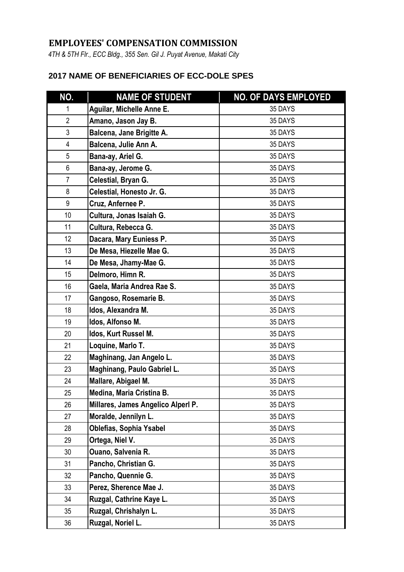## **EMPLOYEES' COMPENSATION COMMISSION**

*4TH & 5TH Flr., ECC Bldg., 355 Sen. Gil J. Puyat Avenue, Makati City*

## **2017 NAME OF BENEFICIARIES OF ECC-DOLE SPES**

| NO.             | <b>NAME OF STUDENT</b>             | <b>NO. OF DAYS EMPLOYED</b> |
|-----------------|------------------------------------|-----------------------------|
| 1               | Aguilar, Michelle Anne E.          | 35 DAYS                     |
| $\overline{2}$  | Amano, Jason Jay B.                | 35 DAYS                     |
| 3               | Balcena, Jane Brigitte A.          | 35 DAYS                     |
| 4               | Balcena, Julie Ann A.              | 35 DAYS                     |
| 5               | Bana-ay, Ariel G.                  | 35 DAYS                     |
| 6               | Bana-ay, Jerome G.                 | 35 DAYS                     |
| $\overline{7}$  | Celestial, Bryan G.                | 35 DAYS                     |
| 8               | Celestial, Honesto Jr. G.          | 35 DAYS                     |
| 9               | Cruz, Anfernee P.                  | 35 DAYS                     |
| 10              | Cultura, Jonas Isaiah G.           | 35 DAYS                     |
| 11              | Cultura, Rebecca G.                | 35 DAYS                     |
| 12 <sup>°</sup> | Dacara, Mary Euniess P.            | 35 DAYS                     |
| 13              | De Mesa, Hiezelle Mae G.           | 35 DAYS                     |
| 14              | De Mesa, Jhamy-Mae G.              | 35 DAYS                     |
| 15              | Delmoro, Himn R.                   | 35 DAYS                     |
| 16              | Gaela, Maria Andrea Rae S.         | 35 DAYS                     |
| 17              | Gangoso, Rosemarie B.              | 35 DAYS                     |
| 18              | Idos, Alexandra M.                 | 35 DAYS                     |
| 19              | Idos, Alfonso M.                   | 35 DAYS                     |
| 20              | Idos, Kurt Russel M.               | 35 DAYS                     |
| 21              | Loquine, Marlo T.                  | 35 DAYS                     |
| 22              | Maghinang, Jan Angelo L.           | 35 DAYS                     |
| 23              | Maghinang, Paulo Gabriel L.        | 35 DAYS                     |
| 24              | Mallare, Abigael M.                | 35 DAYS                     |
| 25              | Medina, Maria Cristina B.          | 35 DAYS                     |
| 26              | Millares, James Angelico Alperl P. | 35 DAYS                     |
| 27              | Moralde, Jennilyn L.               | 35 DAYS                     |
| 28              | <b>Oblefias, Sophia Ysabel</b>     | 35 DAYS                     |
| 29              | Ortega, Niel V.                    | 35 DAYS                     |
| 30              | <b>Ouano, Salvenia R.</b>          | 35 DAYS                     |
| 31              | Pancho, Christian G.               | 35 DAYS                     |
| 32              | Pancho, Quennie G.                 | 35 DAYS                     |
| 33              | Perez, Sherence Mae J.             | 35 DAYS                     |
| 34              | Ruzgal, Cathrine Kaye L.           | 35 DAYS                     |
| 35              | Ruzgal, Chrishalyn L.              | 35 DAYS                     |
| 36              | Ruzgal, Noriel L.                  | 35 DAYS                     |